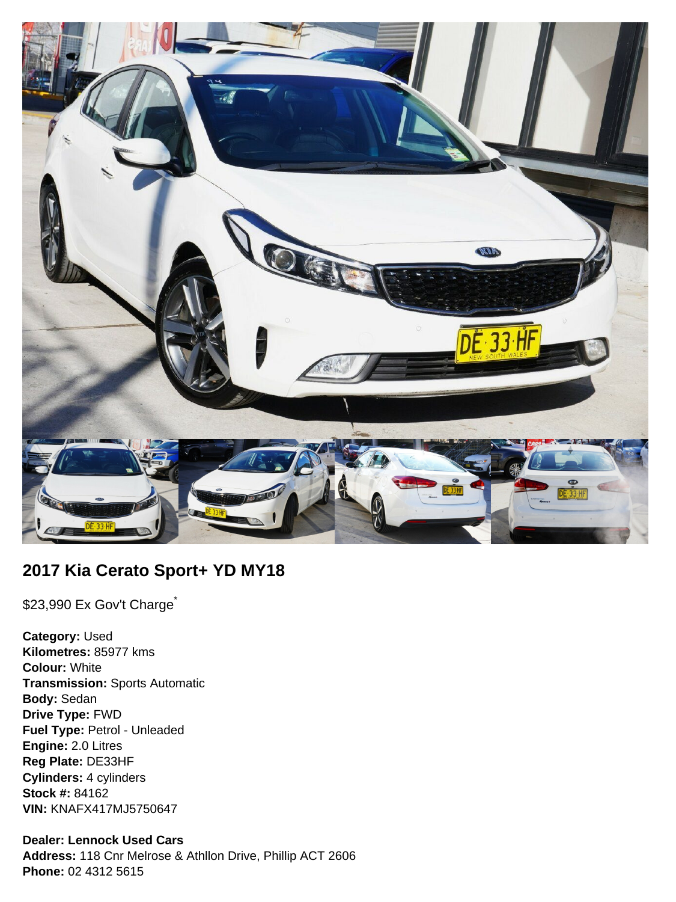

# **2017 Kia Cerato Sport+ YD MY18**

\$23,990 Ex Gov't Charge<sup>\*</sup>

**Category:** Used **Kilometres:** 85977 kms **Colour:** White **Transmission:** Sports Automatic **Body:** Sedan **Drive Type:** FWD **Fuel Type:** Petrol - Unleaded **Engine:** 2.0 Litres **Reg Plate:** DE33HF **Cylinders:** 4 cylinders **Stock #:** 84162 **VIN:** KNAFX417MJ5750647

### **Dealer: Lennock Used Cars**

**Address:** 118 Cnr Melrose & Athllon Drive, Phillip ACT 2606 **Phone:** 02 4312 5615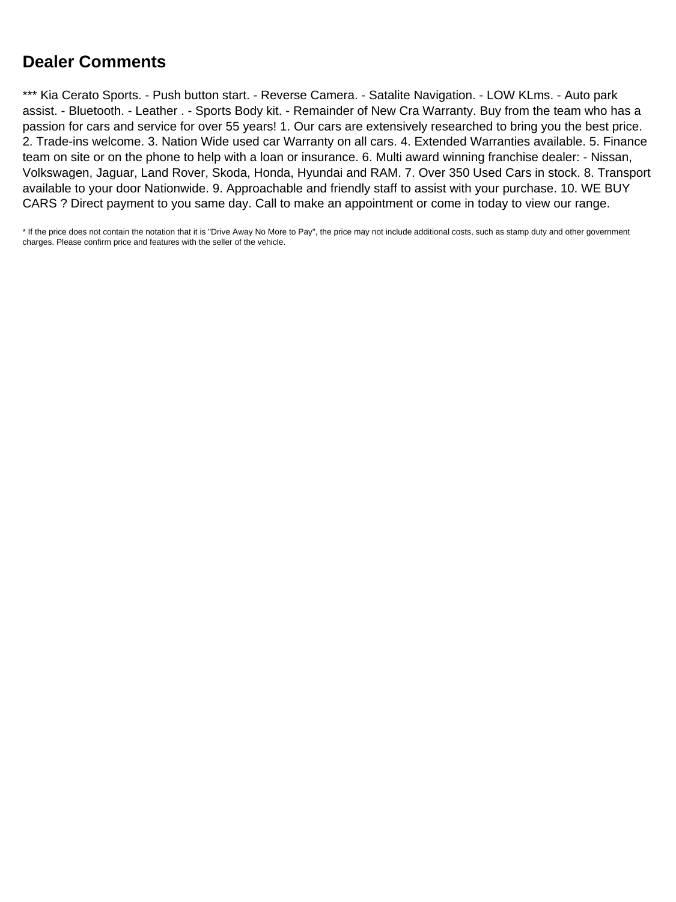# **Dealer Comments**

\*\*\* Kia Cerato Sports. - Push button start. - Reverse Camera. - Satalite Navigation. - LOW KLms. - Auto park assist. - Bluetooth. - Leather . - Sports Body kit. - Remainder of New Cra Warranty. Buy from the team who has a passion for cars and service for over 55 years! 1. Our cars are extensively researched to bring you the best price. 2. Trade-ins welcome. 3. Nation Wide used car Warranty on all cars. 4. Extended Warranties available. 5. Finance team on site or on the phone to help with a loan or insurance. 6. Multi award winning franchise dealer: - Nissan, Volkswagen, Jaguar, Land Rover, Skoda, Honda, Hyundai and RAM. 7. Over 350 Used Cars in stock. 8. Transport available to your door Nationwide. 9. Approachable and friendly staff to assist with your purchase. 10. WE BUY CARS ? Direct payment to you same day. Call to make an appointment or come in today to view our range.

\* If the price does not contain the notation that it is "Drive Away No More to Pay", the price may not include additional costs, such as stamp duty and other government charges. Please confirm price and features with the seller of the vehicle.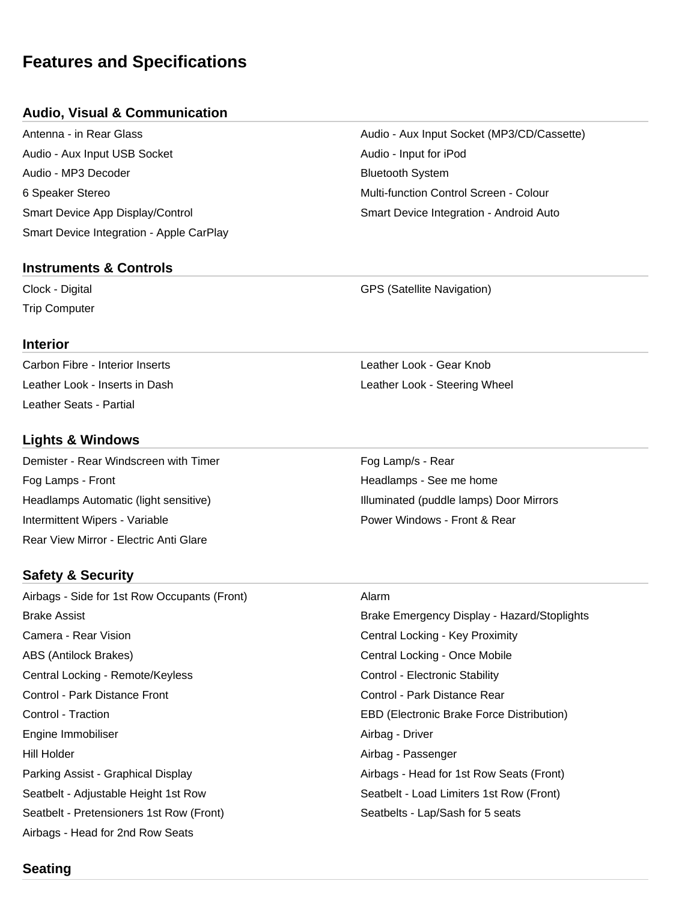# **Features and Specifications**

## **Audio, Visual & Communication**

Audio - Aux Input USB Socket Audio - Input for iPod Audio - MP3 Decoder **Bluetooth System** Bluetooth System 6 Speaker Stereo Multi-function Control Screen - Colour Smart Device App Display/Control Smart Device Integration - Android Auto Smart Device Integration - Apple CarPlay

### **Instruments & Controls**

Trip Computer

#### **Interior**

Carbon Fibre - Interior Inserts Leather Look - Gear Knob Leather Seats - Partial

## **Lights & Windows**

Demister - Rear Windscreen with Timer Fog Lamp/s - Rear Fog Lamps - Front **Front** Headlamps - See me home **Headlamps** - See me home Headlamps Automatic (light sensitive) **Illuminated** (puddle lamps) Door Mirrors Intermittent Wipers - Variable **Power Windows - Front & Rear** Power Windows - Front & Rear Rear View Mirror - Electric Anti Glare

# **Safety & Security**

Airbags - Side for 1st Row Occupants (Front) Alarm Camera - Rear Vision Central Locking - Key Proximity ABS (Antilock Brakes) **Central Locking - Once Mobile** Central Locking - Once Mobile Central Locking - Remote/Keyless Central Locking - Remote/Keyless Control - Electronic Stability Control - Park Distance Front Control - Park Distance Rear Control - Traction EBD (Electronic Brake Force Distribution) Engine Immobiliser **Airbag - Driver** Airbag - Driver Hill Holder Airbag - Passenger Parking Assist - Graphical Display And Airbags - Head for 1st Row Seats (Front) Seatbelt - Adjustable Height 1st Row Seatbelt - Load Limiters 1st Row (Front) Seatbelt - Pretensioners 1st Row (Front) Seatbelts - Lap/Sash for 5 seats Airbags - Head for 2nd Row Seats

Antenna - in Rear Glass Audio - Aux Input Socket (MP3/CD/Cassette)

Clock - Digital GPS (Satellite Navigation)

Leather Look - Inserts in Dash **Leather Look - Steering Wheel** Leather Look - Steering Wheel

Brake Assist Brake Emergency Display - Hazard/Stoplights

### **Seating**